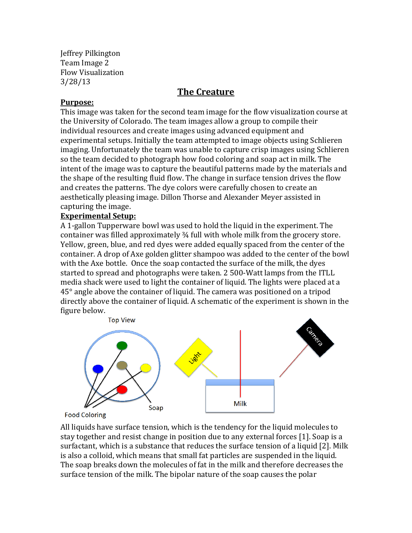Jeffrey Pilkington Team Image 2 Flow Visualization 3/28/13

# **The Creature**

## **Purpose:**

This image was taken for the second team image for the flow visualization course at the University of Colorado. The team images allow a group to compile their individual resources and create images using advanced equipment and experimental setups. Initially the team attempted to image objects using Schlieren imaging. Unfortunately the team was unable to capture crisp images using Schlieren so the team decided to photograph how food coloring and soap act in milk. The intent of the image was to capture the beautiful patterns made by the materials and the shape of the resulting fluid flow. The change in surface tension drives the flow and creates the patterns. The dye colors were carefully chosen to create an aesthetically pleasing image. Dillon Thorse and Alexander Meyer assisted in capturing the image.

# **Experimental Setup:**

A 1-gallon Tupperware bowl was used to hold the liquid in the experiment. The container was filled approximately ¾ full with whole milk from the grocery store. Yellow, green, blue, and red dyes were added equally spaced from the center of the container. A drop of Axe golden glitter shampoo was added to the center of the bowl with the Axe bottle. Once the soap contacted the surface of the milk, the dyes started to spread and photographs were taken. 2 500-Watt lamps from the ITLL media shack were used to light the container of liquid. The lights were placed at a 45° angle above the container of liquid. The camera was positioned on a tripod directly above the container of liquid. A schematic of the experiment is shown in the figure below.



**Food Coloring** 

All liquids have surface tension, which is the tendency for the liquid molecules to stay together and resist change in position due to any external forces [1]. Soap is a surfactant, which is a substance that reduces the surface tension of a liquid [2]. Milk is also a colloid, which means that small fat particles are suspended in the liquid. The soap breaks down the molecules of fat in the milk and therefore decreases the surface tension of the milk. The bipolar nature of the soap causes the polar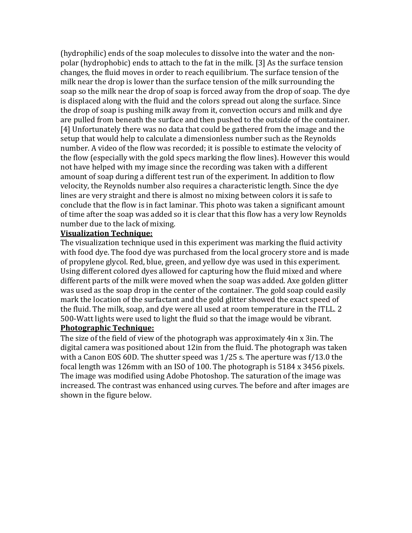(hydrophilic) ends of the soap molecules to dissolve into the water and the nonpolar (hydrophobic) ends to attach to the fat in the milk. [3] As the surface tension changes, the fluid moves in order to reach equilibrium. The surface tension of the milk near the drop is lower than the surface tension of the milk surrounding the soap so the milk near the drop of soap is forced away from the drop of soap. The dye is displaced along with the fluid and the colors spread out along the surface. Since the drop of soap is pushing milk away from it, convection occurs and milk and dye are pulled from beneath the surface and then pushed to the outside of the container. [4] Unfortunately there was no data that could be gathered from the image and the setup that would help to calculate a dimensionless number such as the Reynolds number. A video of the flow was recorded; it is possible to estimate the velocity of the flow (especially with the gold specs marking the flow lines). However this would not have helped with my image since the recording was taken with a different amount of soap during a different test run of the experiment. In addition to flow velocity, the Reynolds number also requires a characteristic length. Since the dye lines are very straight and there is almost no mixing between colors it is safe to conclude that the flow is in fact laminar. This photo was taken a significant amount of time after the soap was added so it is clear that this flow has a very low Reynolds number due to the lack of mixing.

#### **Visualization Technique:**

The visualization technique used in this experiment was marking the fluid activity with food dye. The food dye was purchased from the local grocery store and is made of propylene glycol. Red, blue, green, and yellow dye was used in this experiment. Using different colored dyes allowed for capturing how the fluid mixed and where different parts of the milk were moved when the soap was added. Axe golden glitter was used as the soap drop in the center of the container. The gold soap could easily mark the location of the surfactant and the gold glitter showed the exact speed of the fluid. The milk, soap, and dye were all used at room temperature in the ITLL. 2 500-Watt lights were used to light the fluid so that the image would be vibrant.

#### **Photographic Technique:**

The size of the field of view of the photograph was approximately 4in x 3in. The digital camera was positioned about 12in from the fluid. The photograph was taken with a Canon EOS 60D. The shutter speed was 1/25 s. The aperture was f/13.0 the focal length was 126mm with an ISO of 100. The photograph is 5184 x 3456 pixels. The image was modified using Adobe Photoshop. The saturation of the image was increased. The contrast was enhanced using curves. The before and after images are shown in the figure below.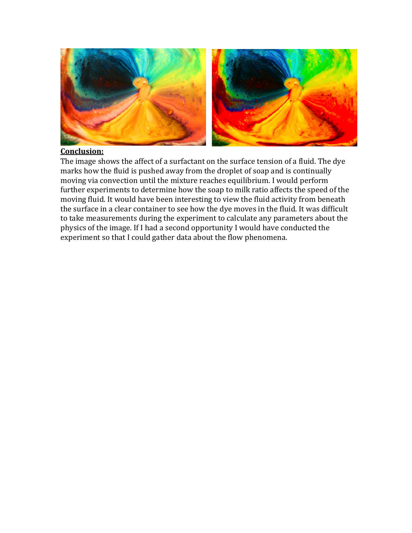

#### **Conclusion:**

The image shows the affect of a surfactant on the surface tension of a fluid. The dye marks how the fluid is pushed away from the droplet of soap and is continually moving via convection until the mixture reaches equilibrium. I would perform further experiments to determine how the soap to milk ratio affects the speed of the moving fluid. It would have been interesting to view the fluid activity from beneath the surface in a clear container to see how the dye moves in the fluid. It was difficult to take measurements during the experiment to calculate any parameters about the physics of the image. If I had a second opportunity I would have conducted the experiment so that I could gather data about the flow phenomena.